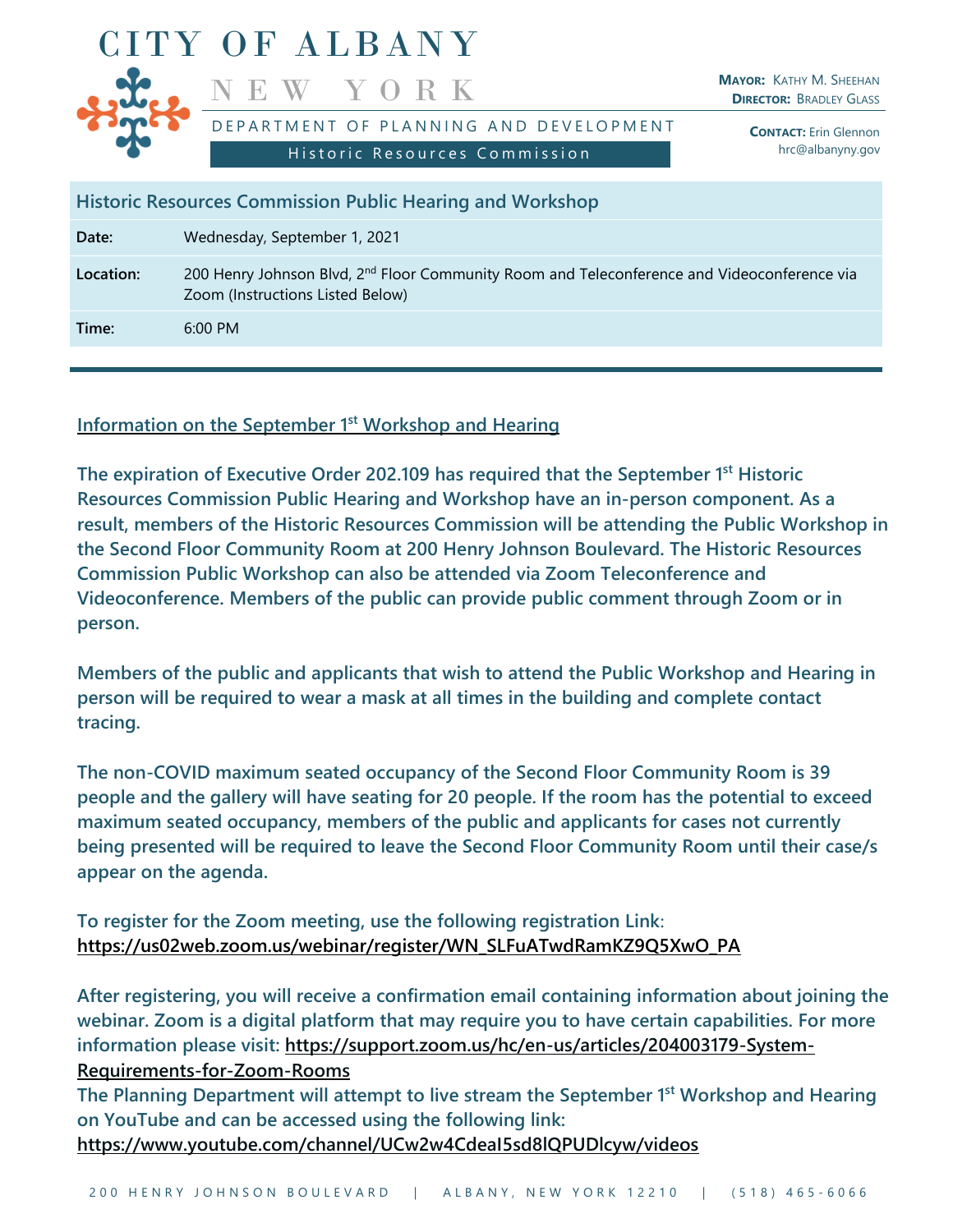

**Historic Resources Commission Public Hearing and Workshop**

**Date:** Wednesday, September 1, 2021

Location: 200 Henry Johnson Blvd, 2<sup>nd</sup> Floor Community Room and Teleconference and Videoconference via Zoom (Instructions Listed Below)

**Time:** 6:00 PM

# **Information on the September 1 st Workshop and Hearing**

**The expiration of Executive Order 202.109 has required that the September 1 st Historic Resources Commission Public Hearing and Workshop have an in-person component. As a result, members of the Historic Resources Commission will be attending the Public Workshop in the Second Floor Community Room at 200 Henry Johnson Boulevard. The Historic Resources Commission Public Workshop can also be attended via Zoom Teleconference and Videoconference. Members of the public can provide public comment through Zoom or in person.**

**Members of the public and applicants that wish to attend the Public Workshop and Hearing in person will be required to wear a mask at all times in the building and complete contact tracing.**

**The non-COVID maximum seated occupancy of the Second Floor Community Room is 39 people and the gallery will have seating for 20 people. If the room has the potential to exceed maximum seated occupancy, members of the public and applicants for cases not currently being presented will be required to leave the Second Floor Community Room until their case/s appear on the agenda.**

**To register for the Zoom meeting, use the following registration Link**: **https://us02web.zoom.us/webinar/register/WN\_SLFuATwdRamKZ9Q5XwO\_PA**

**After registering, you will receive a confirmation email containing information about joining the webinar. Zoom is a digital platform that may require you to have certain capabilities. For more information please visit: [https://support.zoom.us/hc/en-us/articles/204003179-System-](https://support.zoom.us/hc/en-us/articles/204003179-System-Requirements-for-Zoom-Rooms)[Requirements-for-Zoom-Rooms](https://support.zoom.us/hc/en-us/articles/204003179-System-Requirements-for-Zoom-Rooms)**

**The Planning Department will attempt to live stream the September 1 st Workshop and Hearing on YouTube and can be accessed using the following link:**

**<https://www.youtube.com/channel/UCw2w4CdeaI5sd8lQPUDlcyw/videos>**